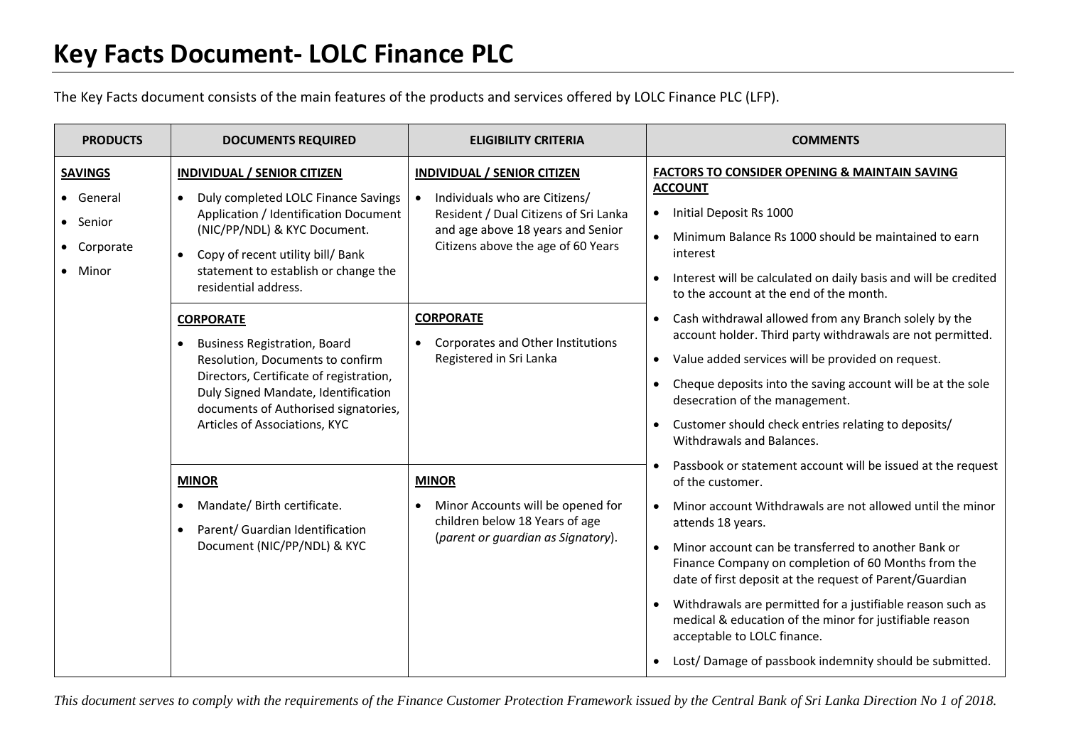The Key Facts document consists of the main features of the products and services offered by LOLC Finance PLC (LFP).

| <b>PRODUCTS</b>                                                   | <b>DOCUMENTS REQUIRED</b>                                                                                                                                                                                                                                            | <b>ELIGIBILITY CRITERIA</b>                                                                                                                                                             | <b>COMMENTS</b>                                                                                                                                                                                                                                                                                                                                                                                                                                                                                                                                                                        |
|-------------------------------------------------------------------|----------------------------------------------------------------------------------------------------------------------------------------------------------------------------------------------------------------------------------------------------------------------|-----------------------------------------------------------------------------------------------------------------------------------------------------------------------------------------|----------------------------------------------------------------------------------------------------------------------------------------------------------------------------------------------------------------------------------------------------------------------------------------------------------------------------------------------------------------------------------------------------------------------------------------------------------------------------------------------------------------------------------------------------------------------------------------|
| <b>SAVINGS</b><br>• General<br>• Senior<br>• Corporate<br>• Minor | <b>INDIVIDUAL / SENIOR CITIZEN</b><br>Duly completed LOLC Finance Savings<br>$\bullet$<br>Application / Identification Document<br>(NIC/PP/NDL) & KYC Document.<br>Copy of recent utility bill/ Bank<br>statement to establish or change the<br>residential address. | <b>INDIVIDUAL / SENIOR CITIZEN</b><br>Individuals who are Citizens/<br>Resident / Dual Citizens of Sri Lanka<br>and age above 18 years and Senior<br>Citizens above the age of 60 Years | <b>FACTORS TO CONSIDER OPENING &amp; MAINTAIN SAVING</b><br><b>ACCOUNT</b><br>Initial Deposit Rs 1000<br>$\bullet$<br>Minimum Balance Rs 1000 should be maintained to earn<br>$\bullet$<br>interest<br>Interest will be calculated on daily basis and will be credited<br>$\bullet$<br>to the account at the end of the month.                                                                                                                                                                                                                                                         |
| $\bullet$                                                         | <b>CORPORATE</b><br><b>Business Registration, Board</b><br>Resolution, Documents to confirm<br>Directors, Certificate of registration,<br>Duly Signed Mandate, Identification<br>documents of Authorised signatories,<br>Articles of Associations, KYC               | <b>CORPORATE</b><br>Corporates and Other Institutions<br>Registered in Sri Lanka                                                                                                        | Cash withdrawal allowed from any Branch solely by the<br>$\bullet$<br>account holder. Third party withdrawals are not permitted.<br>Value added services will be provided on request.<br>$\bullet$<br>Cheque deposits into the saving account will be at the sole<br>$\bullet$<br>desecration of the management.<br>Customer should check entries relating to deposits/<br>$\bullet$<br>Withdrawals and Balances.                                                                                                                                                                      |
|                                                                   | <b>MINOR</b><br>Mandate/ Birth certificate.<br>Parent/ Guardian Identification<br>Document (NIC/PP/NDL) & KYC                                                                                                                                                        | <b>MINOR</b><br>Minor Accounts will be opened for<br>children below 18 Years of age<br>(parent or guardian as Signatory).                                                               | Passbook or statement account will be issued at the request<br>of the customer.<br>Minor account Withdrawals are not allowed until the minor<br>$\bullet$<br>attends 18 years.<br>Minor account can be transferred to another Bank or<br>$\bullet$<br>Finance Company on completion of 60 Months from the<br>date of first deposit at the request of Parent/Guardian<br>Withdrawals are permitted for a justifiable reason such as<br>medical & education of the minor for justifiable reason<br>acceptable to LOLC finance.<br>Lost/Damage of passbook indemnity should be submitted. |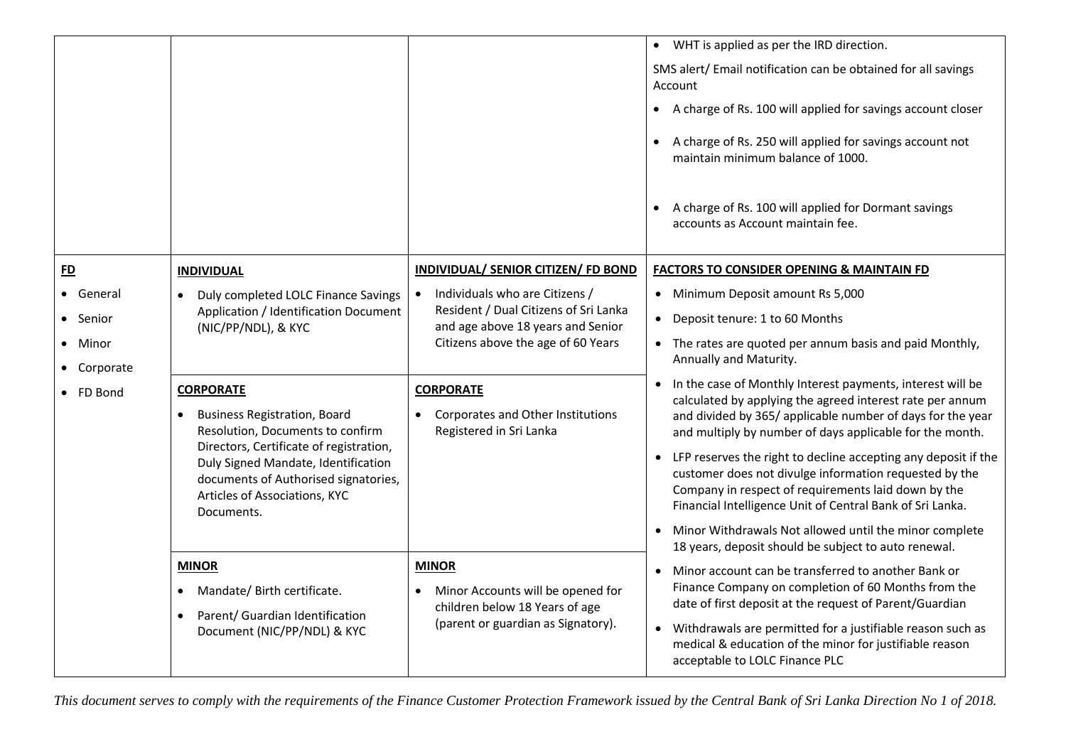|                                                             |                                                                                                                                                                                                                                                                                                                                                                                                  |                                                                                                                                                                                                                                                                                            | • WHT is applied as per the IRD direction.<br>SMS alert/ Email notification can be obtained for all savings<br>Account<br>A charge of Rs. 100 will applied for savings account closer<br>$\bullet$<br>A charge of Rs. 250 will applied for savings account not<br>$\bullet$<br>maintain minimum balance of 1000.<br>A charge of Rs. 100 will applied for Dormant savings<br>$\bullet$<br>accounts as Account maintain fee.                                                                                                                                                                                                                                                                                                                                                                                            |
|-------------------------------------------------------------|--------------------------------------------------------------------------------------------------------------------------------------------------------------------------------------------------------------------------------------------------------------------------------------------------------------------------------------------------------------------------------------------------|--------------------------------------------------------------------------------------------------------------------------------------------------------------------------------------------------------------------------------------------------------------------------------------------|-----------------------------------------------------------------------------------------------------------------------------------------------------------------------------------------------------------------------------------------------------------------------------------------------------------------------------------------------------------------------------------------------------------------------------------------------------------------------------------------------------------------------------------------------------------------------------------------------------------------------------------------------------------------------------------------------------------------------------------------------------------------------------------------------------------------------|
| E<br>• General<br>Senior<br>Minor<br>• Corporate<br>FD Bond | <b>INDIVIDUAL</b><br>Duly completed LOLC Finance Savings<br>Application / Identification Document<br>(NIC/PP/NDL), & KYC<br><b>CORPORATE</b><br><b>Business Registration, Board</b><br>Resolution, Documents to confirm<br>Directors, Certificate of registration,<br>Duly Signed Mandate, Identification<br>documents of Authorised signatories,<br>Articles of Associations, KYC<br>Documents. | INDIVIDUAL/ SENIOR CITIZEN/ FD BOND<br>Individuals who are Citizens /<br>$\bullet$<br>Resident / Dual Citizens of Sri Lanka<br>and age above 18 years and Senior<br>Citizens above the age of 60 Years<br><b>CORPORATE</b><br>Corporates and Other Institutions<br>Registered in Sri Lanka | <b>FACTORS TO CONSIDER OPENING &amp; MAINTAIN FD</b><br>• Minimum Deposit amount Rs 5,000<br>Deposit tenure: 1 to 60 Months<br>The rates are quoted per annum basis and paid Monthly,<br>Annually and Maturity.<br>In the case of Monthly Interest payments, interest will be<br>$\bullet$<br>calculated by applying the agreed interest rate per annum<br>and divided by 365/ applicable number of days for the year<br>and multiply by number of days applicable for the month.<br>LFP reserves the right to decline accepting any deposit if the<br>$\bullet$<br>customer does not divulge information requested by the<br>Company in respect of requirements laid down by the<br>Financial Intelligence Unit of Central Bank of Sri Lanka.<br>Minor Withdrawals Not allowed until the minor complete<br>$\bullet$ |
|                                                             | <b>MINOR</b><br>Mandate/ Birth certificate.<br>Parent/ Guardian Identification<br>$\bullet$<br>Document (NIC/PP/NDL) & KYC                                                                                                                                                                                                                                                                       | <b>MINOR</b><br>Minor Accounts will be opened for<br>children below 18 Years of age<br>(parent or guardian as Signatory).                                                                                                                                                                  | 18 years, deposit should be subject to auto renewal.<br>Minor account can be transferred to another Bank or<br>$\bullet$<br>Finance Company on completion of 60 Months from the<br>date of first deposit at the request of Parent/Guardian<br>Withdrawals are permitted for a justifiable reason such as<br>$\bullet$<br>medical & education of the minor for justifiable reason<br>acceptable to LOLC Finance PLC                                                                                                                                                                                                                                                                                                                                                                                                    |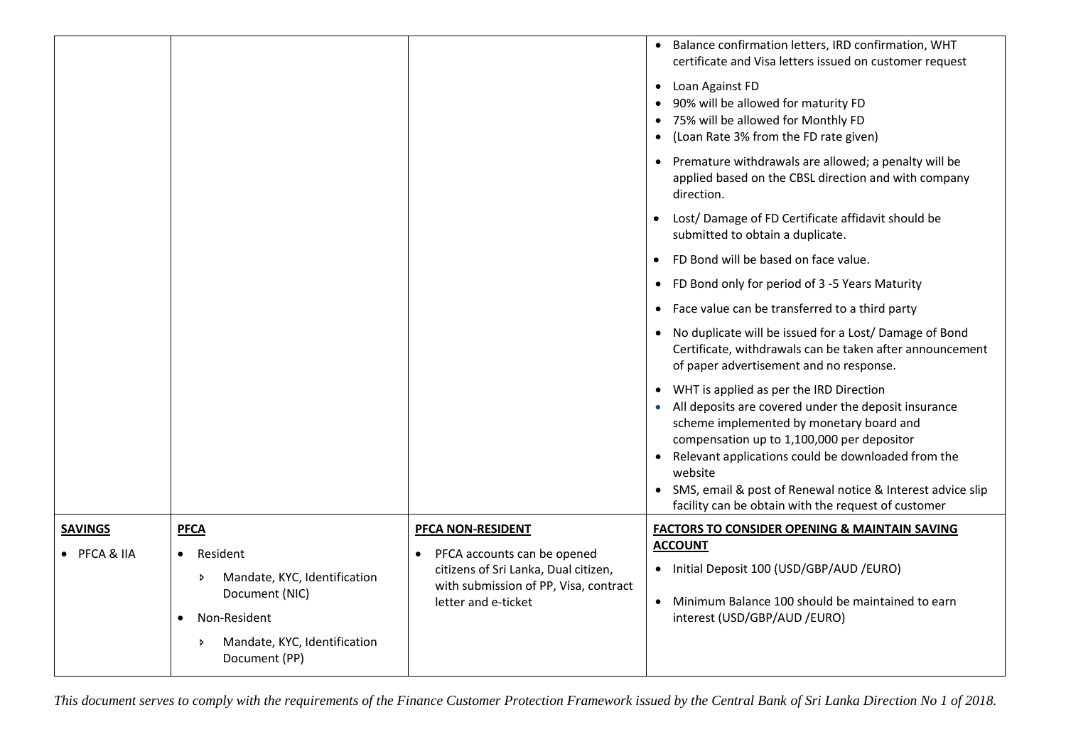|                                |                                                                                                         |                                                                                                                                                                              | Balance confirmation letters, IRD confirmation, WHT<br>certificate and Visa letters issued on customer request<br>Loan Against FD<br>$\bullet$<br>90% will be allowed for maturity FD<br>75% will be allowed for Monthly FD<br>$\bullet$<br>(Loan Rate 3% from the FD rate given)<br>$\bullet$<br>• Premature withdrawals are allowed; a penalty will be<br>applied based on the CBSL direction and with company<br>direction. |
|--------------------------------|---------------------------------------------------------------------------------------------------------|------------------------------------------------------------------------------------------------------------------------------------------------------------------------------|--------------------------------------------------------------------------------------------------------------------------------------------------------------------------------------------------------------------------------------------------------------------------------------------------------------------------------------------------------------------------------------------------------------------------------|
|                                |                                                                                                         |                                                                                                                                                                              | Lost/ Damage of FD Certificate affidavit should be<br>submitted to obtain a duplicate.                                                                                                                                                                                                                                                                                                                                         |
|                                |                                                                                                         |                                                                                                                                                                              | FD Bond will be based on face value.<br>$\bullet$                                                                                                                                                                                                                                                                                                                                                                              |
|                                |                                                                                                         |                                                                                                                                                                              | FD Bond only for period of 3 -5 Years Maturity<br>$\bullet$                                                                                                                                                                                                                                                                                                                                                                    |
|                                |                                                                                                         |                                                                                                                                                                              | Face value can be transferred to a third party<br>$\bullet$                                                                                                                                                                                                                                                                                                                                                                    |
|                                |                                                                                                         |                                                                                                                                                                              | No duplicate will be issued for a Lost/Damage of Bond<br>Certificate, withdrawals can be taken after announcement<br>of paper advertisement and no response.                                                                                                                                                                                                                                                                   |
|                                |                                                                                                         |                                                                                                                                                                              | WHT is applied as per the IRD Direction<br>All deposits are covered under the deposit insurance<br>scheme implemented by monetary board and<br>compensation up to 1,100,000 per depositor<br>Relevant applications could be downloaded from the<br>website                                                                                                                                                                     |
|                                |                                                                                                         |                                                                                                                                                                              | SMS, email & post of Renewal notice & Interest advice slip<br>facility can be obtain with the request of customer                                                                                                                                                                                                                                                                                                              |
| <b>SAVINGS</b><br>• PFCA & IIA | <b>PFCA</b><br>Resident<br>$\bullet$<br>Mandate, KYC, Identification<br>$\rightarrow$<br>Document (NIC) | <b>PFCA NON-RESIDENT</b><br>PFCA accounts can be opened<br>$\bullet$<br>citizens of Sri Lanka, Dual citizen,<br>with submission of PP, Visa, contract<br>letter and e-ticket | <b>FACTORS TO CONSIDER OPENING &amp; MAINTAIN SAVING</b><br><b>ACCOUNT</b><br>Initial Deposit 100 (USD/GBP/AUD /EURO)<br>$\bullet$<br>Minimum Balance 100 should be maintained to earn                                                                                                                                                                                                                                         |
|                                | Non-Resident<br>$\bullet$<br>Mandate, KYC, Identification<br>$\rightarrow$<br>Document (PP)             |                                                                                                                                                                              | interest (USD/GBP/AUD /EURO)                                                                                                                                                                                                                                                                                                                                                                                                   |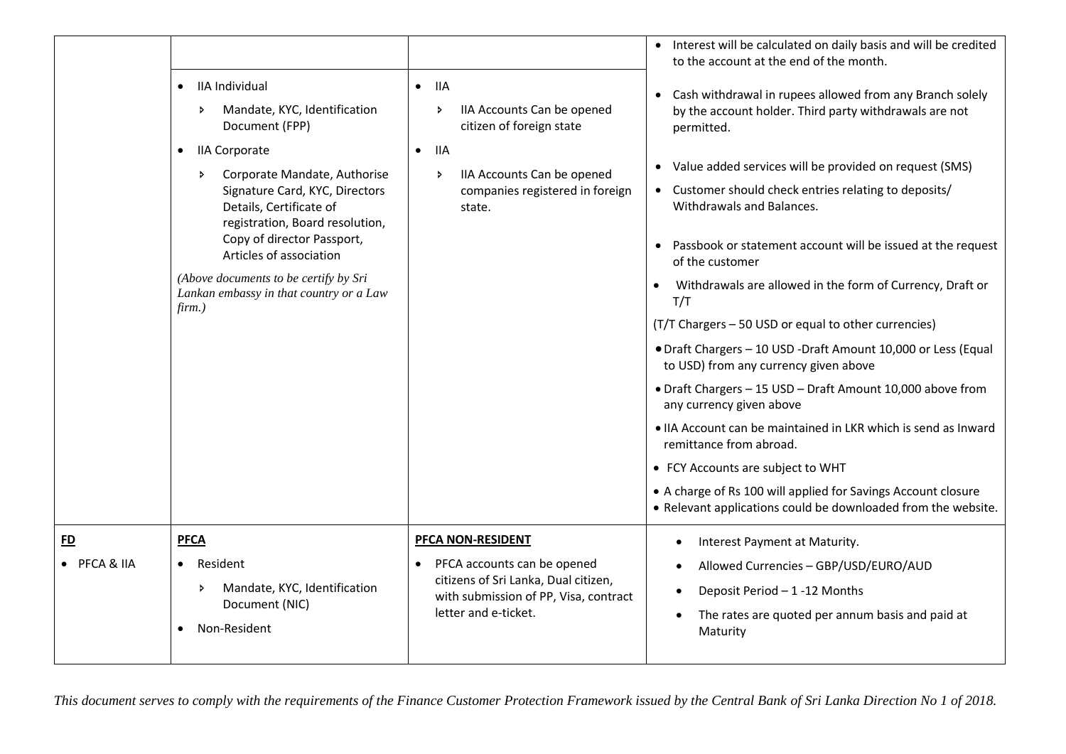|                   | IIA Individual<br>$\bullet$<br>Mandate, KYC, Identification<br>Þ<br>Document (FPP)<br><b>IIA Corporate</b><br>$\bullet$<br>Corporate Mandate, Authorise<br>$\triangleright$<br>Signature Card, KYC, Directors<br>Details, Certificate of<br>registration, Board resolution,<br>Copy of director Passport,<br>Articles of association<br>(Above documents to be certify by Sri<br>Lankan embassy in that country or a Law<br>$firm.$ ) | <b>IIA</b><br>$\bullet$<br>IIA Accounts Can be opened<br>ь<br>citizen of foreign state<br><b>IIA</b><br>$\bullet$<br>IIA Accounts Can be opened<br>Þ.<br>companies registered in foreign<br>state. | • Interest will be calculated on daily basis and will be credited<br>to the account at the end of the month.<br>Cash withdrawal in rupees allowed from any Branch solely<br>$\bullet$<br>by the account holder. Third party withdrawals are not<br>permitted.<br>Value added services will be provided on request (SMS)<br>• Customer should check entries relating to deposits/<br>Withdrawals and Balances.<br>Passbook or statement account will be issued at the request<br>of the customer<br>Withdrawals are allowed in the form of Currency, Draft or<br>T/T<br>(T/T Chargers - 50 USD or equal to other currencies)<br>• Draft Chargers - 10 USD - Draft Amount 10,000 or Less (Equal<br>to USD) from any currency given above<br>• Draft Chargers - 15 USD - Draft Amount 10,000 above from<br>any currency given above<br>. IIA Account can be maintained in LKR which is send as Inward<br>remittance from abroad.<br>• FCY Accounts are subject to WHT<br>• A charge of Rs 100 will applied for Savings Account closure<br>• Relevant applications could be downloaded from the website. |
|-------------------|---------------------------------------------------------------------------------------------------------------------------------------------------------------------------------------------------------------------------------------------------------------------------------------------------------------------------------------------------------------------------------------------------------------------------------------|----------------------------------------------------------------------------------------------------------------------------------------------------------------------------------------------------|------------------------------------------------------------------------------------------------------------------------------------------------------------------------------------------------------------------------------------------------------------------------------------------------------------------------------------------------------------------------------------------------------------------------------------------------------------------------------------------------------------------------------------------------------------------------------------------------------------------------------------------------------------------------------------------------------------------------------------------------------------------------------------------------------------------------------------------------------------------------------------------------------------------------------------------------------------------------------------------------------------------------------------------------------------------------------------------------------|
| E<br>• PFCA & IIA | <b>PFCA</b><br>Resident<br>$\bullet$<br>Mandate, KYC, Identification<br>$\triangleright$<br>Document (NIC)<br>Non-Resident<br>$\bullet$                                                                                                                                                                                                                                                                                               | <b>PFCA NON-RESIDENT</b><br>PFCA accounts can be opened<br>$\bullet$<br>citizens of Sri Lanka, Dual citizen,<br>with submission of PP, Visa, contract<br>letter and e-ticket.                      | Interest Payment at Maturity.<br>Allowed Currencies - GBP/USD/EURO/AUD<br>Deposit Period - 1-12 Months<br>The rates are quoted per annum basis and paid at<br>Maturity                                                                                                                                                                                                                                                                                                                                                                                                                                                                                                                                                                                                                                                                                                                                                                                                                                                                                                                               |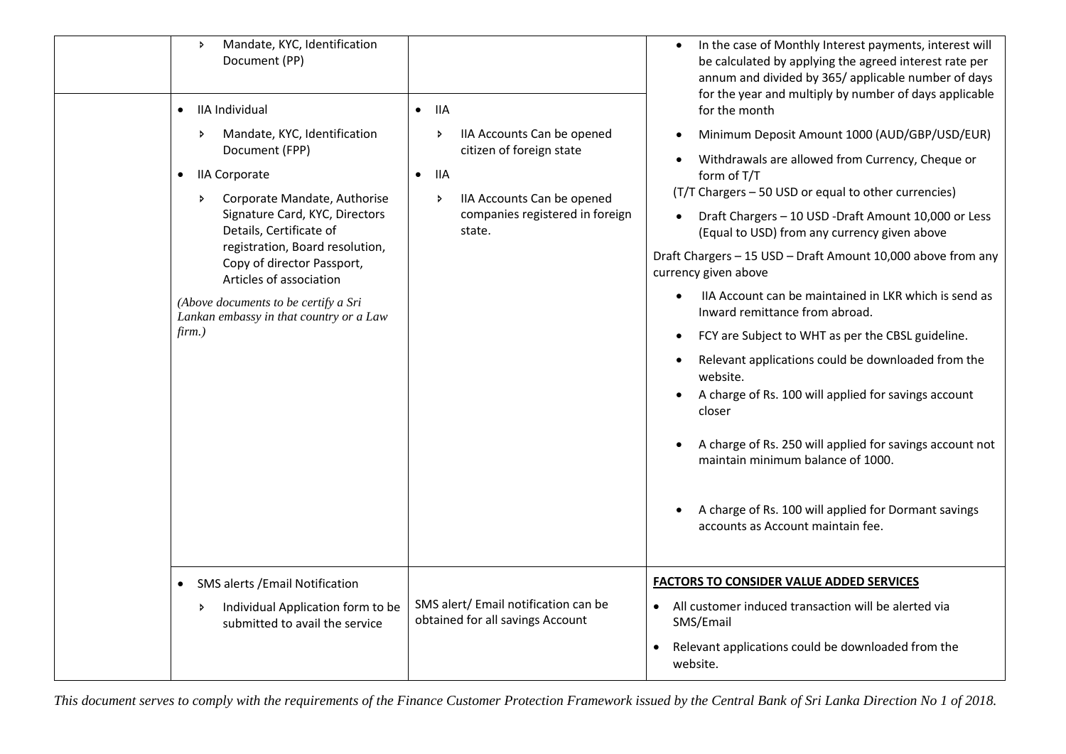| Mandate, KYC, Identification<br>$\rightarrow$<br>Document (PP)<br>IIA Individual<br>$\bullet$<br>Mandate, KYC, Identification<br>Þ<br>Document (FPP)<br><b>IIA Corporate</b><br>$\bullet$<br>Corporate Mandate, Authorise<br>Þ.<br>Signature Card, KYC, Directors<br>Details, Certificate of<br>registration, Board resolution,<br>Copy of director Passport,<br>Articles of association<br>(Above documents to be certify a Sri<br>Lankan embassy in that country or a Law<br>$firm.$ ) | <b>IIA</b><br>$\bullet$<br>IIA Accounts Can be opened<br>Þ.<br>citizen of foreign state<br>11A<br>$\bullet$<br>IIA Accounts Can be opened<br>Þ.<br>companies registered in foreign<br>state. | In the case of Monthly Interest payments, interest will<br>be calculated by applying the agreed interest rate per<br>annum and divided by 365/ applicable number of days<br>for the year and multiply by number of days applicable<br>for the month<br>Minimum Deposit Amount 1000 (AUD/GBP/USD/EUR)<br>Withdrawals are allowed from Currency, Cheque or<br>form of T/T<br>(T/T Chargers - 50 USD or equal to other currencies)<br>Draft Chargers - 10 USD - Draft Amount 10,000 or Less<br>(Equal to USD) from any currency given above<br>Draft Chargers - 15 USD - Draft Amount 10,000 above from any<br>currency given above<br>IIA Account can be maintained in LKR which is send as<br>Inward remittance from abroad.<br>FCY are Subject to WHT as per the CBSL guideline.<br>$\bullet$<br>Relevant applications could be downloaded from the<br>$\bullet$<br>website.<br>A charge of Rs. 100 will applied for savings account<br>closer<br>A charge of Rs. 250 will applied for savings account not<br>maintain minimum balance of 1000.<br>A charge of Rs. 100 will applied for Dormant savings<br>accounts as Account maintain fee. |
|------------------------------------------------------------------------------------------------------------------------------------------------------------------------------------------------------------------------------------------------------------------------------------------------------------------------------------------------------------------------------------------------------------------------------------------------------------------------------------------|----------------------------------------------------------------------------------------------------------------------------------------------------------------------------------------------|----------------------------------------------------------------------------------------------------------------------------------------------------------------------------------------------------------------------------------------------------------------------------------------------------------------------------------------------------------------------------------------------------------------------------------------------------------------------------------------------------------------------------------------------------------------------------------------------------------------------------------------------------------------------------------------------------------------------------------------------------------------------------------------------------------------------------------------------------------------------------------------------------------------------------------------------------------------------------------------------------------------------------------------------------------------------------------------------------------------------------------------------|
| <b>SMS alerts / Email Notification</b><br>$\bullet$<br>Individual Application form to be<br>Þ.<br>submitted to avail the service                                                                                                                                                                                                                                                                                                                                                         | SMS alert/ Email notification can be<br>obtained for all savings Account                                                                                                                     | <b>FACTORS TO CONSIDER VALUE ADDED SERVICES</b><br>All customer induced transaction will be alerted via<br>$\bullet$<br>SMS/Email<br>Relevant applications could be downloaded from the<br>website.                                                                                                                                                                                                                                                                                                                                                                                                                                                                                                                                                                                                                                                                                                                                                                                                                                                                                                                                          |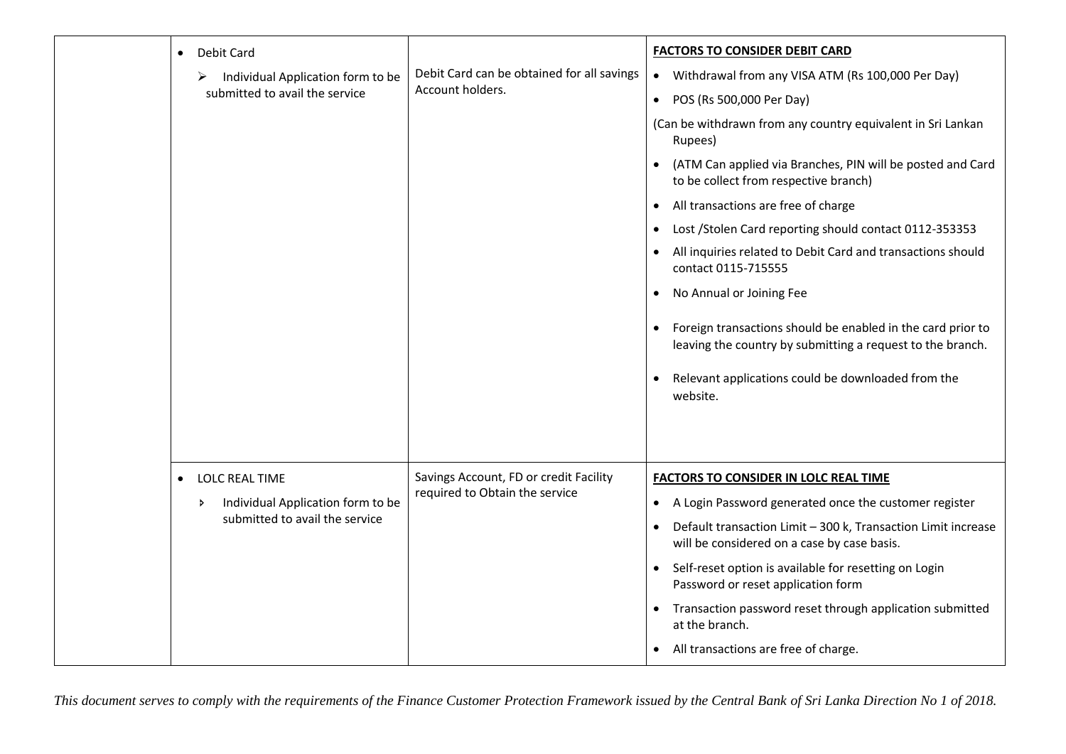| Debit Card<br>$\bullet$<br>Individual Application form to be<br>⋗<br>submitted to avail the service             | Debit Card can be obtained for all savings<br>Account holders.           | <b>FACTORS TO CONSIDER DEBIT CARD</b><br>• Withdrawal from any VISA ATM (Rs 100,000 Per Day)<br>• POS (Rs 500,000 Per Day)<br>(Can be withdrawn from any country equivalent in Sri Lankan<br>Rupees)<br>(ATM Can applied via Branches, PIN will be posted and Card<br>$\bullet$<br>to be collect from respective branch)<br>All transactions are free of charge<br>$\bullet$<br>Lost / Stolen Card reporting should contact 0112-353353<br>$\bullet$<br>All inquiries related to Debit Card and transactions should<br>contact 0115-715555<br>No Annual or Joining Fee<br>$\bullet$<br>Foreign transactions should be enabled in the card prior to<br>leaving the country by submitting a request to the branch.<br>Relevant applications could be downloaded from the |
|-----------------------------------------------------------------------------------------------------------------|--------------------------------------------------------------------------|------------------------------------------------------------------------------------------------------------------------------------------------------------------------------------------------------------------------------------------------------------------------------------------------------------------------------------------------------------------------------------------------------------------------------------------------------------------------------------------------------------------------------------------------------------------------------------------------------------------------------------------------------------------------------------------------------------------------------------------------------------------------|
| <b>LOLC REAL TIME</b><br>$\bullet$<br>Individual Application form to be<br>Þ.<br>submitted to avail the service | Savings Account, FD or credit Facility<br>required to Obtain the service | website.<br><b>FACTORS TO CONSIDER IN LOLC REAL TIME</b><br>A Login Password generated once the customer register<br>$\bullet$<br>Default transaction Limit - 300 k, Transaction Limit increase<br>$\bullet$<br>will be considered on a case by case basis.<br>Self-reset option is available for resetting on Login<br>$\bullet$<br>Password or reset application form<br>Transaction password reset through application submitted<br>at the branch.<br>All transactions are free of charge.                                                                                                                                                                                                                                                                          |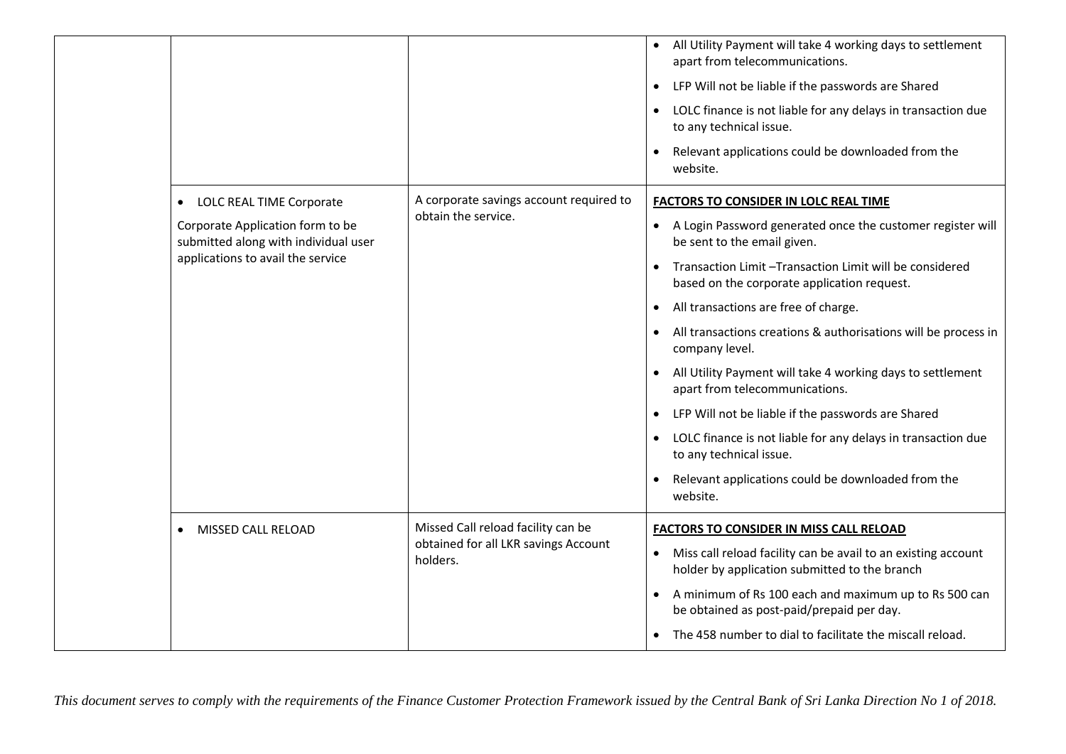|                                                                                                                                           |                                                                                        | All Utility Payment will take 4 working days to settlement<br>apart from telecommunications.<br>LFP Will not be liable if the passwords are Shared<br>$\bullet$<br>LOLC finance is not liable for any delays in transaction due<br>to any technical issue.<br>Relevant applications could be downloaded from the<br>website.                                                                                                                                                                                                                                                                                                                                                                                                                    |
|-------------------------------------------------------------------------------------------------------------------------------------------|----------------------------------------------------------------------------------------|-------------------------------------------------------------------------------------------------------------------------------------------------------------------------------------------------------------------------------------------------------------------------------------------------------------------------------------------------------------------------------------------------------------------------------------------------------------------------------------------------------------------------------------------------------------------------------------------------------------------------------------------------------------------------------------------------------------------------------------------------|
| LOLC REAL TIME Corporate<br>Corporate Application form to be<br>submitted along with individual user<br>applications to avail the service | A corporate savings account required to<br>obtain the service.                         | <b>FACTORS TO CONSIDER IN LOLC REAL TIME</b><br>A Login Password generated once the customer register will<br>$\bullet$<br>be sent to the email given.<br>Transaction Limit - Transaction Limit will be considered<br>based on the corporate application request.<br>All transactions are free of charge.<br>٠<br>All transactions creations & authorisations will be process in<br>company level.<br>All Utility Payment will take 4 working days to settlement<br>apart from telecommunications.<br>LFP Will not be liable if the passwords are Shared<br>$\bullet$<br>LOLC finance is not liable for any delays in transaction due<br>$\bullet$<br>to any technical issue.<br>Relevant applications could be downloaded from the<br>website. |
| MISSED CALL RELOAD                                                                                                                        | Missed Call reload facility can be<br>obtained for all LKR savings Account<br>holders. | <b>FACTORS TO CONSIDER IN MISS CALL RELOAD</b><br>Miss call reload facility can be avail to an existing account<br>$\bullet$<br>holder by application submitted to the branch<br>A minimum of Rs 100 each and maximum up to Rs 500 can<br>$\bullet$<br>be obtained as post-paid/prepaid per day.<br>The 458 number to dial to facilitate the miscall reload.                                                                                                                                                                                                                                                                                                                                                                                    |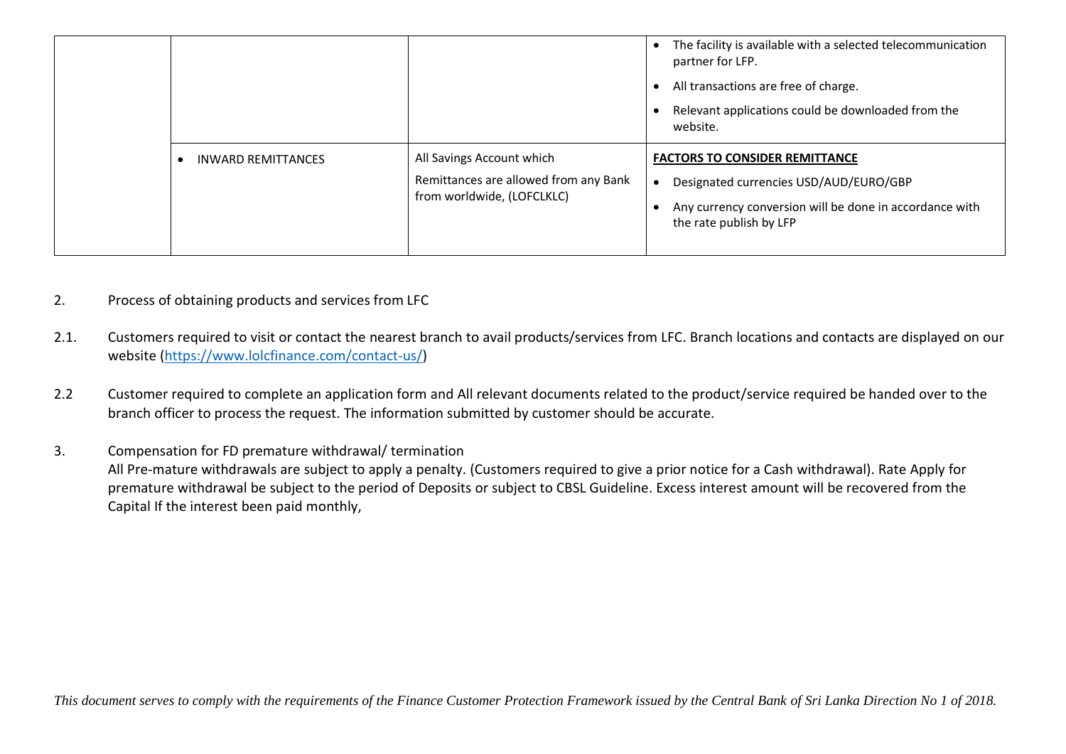|                           |                                                                                                  | The facility is available with a selected telecommunication<br>partner for LFP.<br>All transactions are free of charge.<br>Relevant applications could be downloaded from the<br>website. |
|---------------------------|--------------------------------------------------------------------------------------------------|-------------------------------------------------------------------------------------------------------------------------------------------------------------------------------------------|
| <b>INWARD REMITTANCES</b> | All Savings Account which<br>Remittances are allowed from any Bank<br>from worldwide, (LOFCLKLC) | <b>FACTORS TO CONSIDER REMITTANCE</b><br>Designated currencies USD/AUD/EURO/GBP<br>Any currency conversion will be done in accordance with<br>the rate publish by LFP                     |

- 2. Process of obtaining products and services from LFC
- 2.1. Customers required to visit or contact the nearest branch to avail products/services from LFC. Branch locations and contacts are displayed on our website [\(https://www.lolcfinance.com/contact-us/\)](https://www.lolcfinance.com/contact-us/)
- 2.2 Customer required to complete an application form and All relevant documents related to the product/service required be handed over to the branch officer to process the request. The information submitted by customer should be accurate.
- 3. Compensation for FD premature withdrawal/ termination All Pre-mature withdrawals are subject to apply a penalty. (Customers required to give a prior notice for a Cash withdrawal). Rate Apply for premature withdrawal be subject to the period of Deposits or subject to CBSL Guideline. Excess interest amount will be recovered from the Capital If the interest been paid monthly,